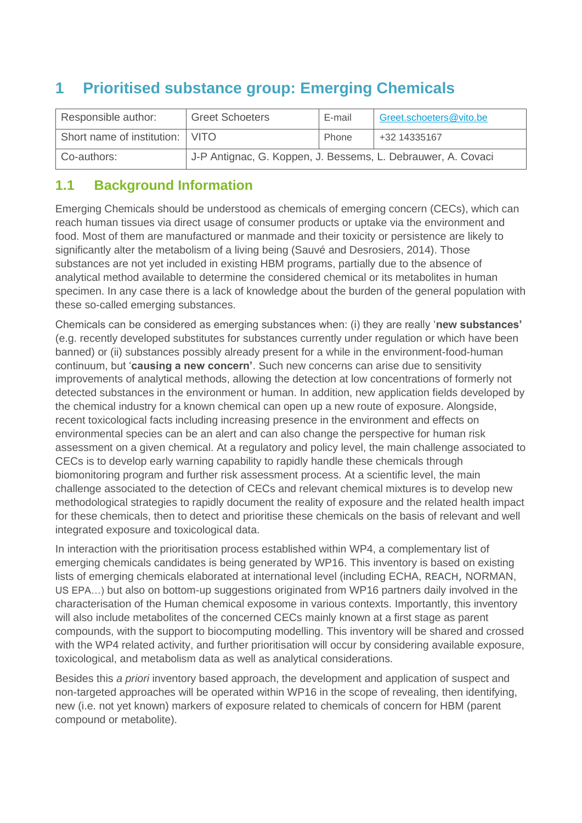# **1 Prioritised substance group: Emerging Chemicals**

| Responsible author:               | <b>Greet Schoeters</b>                                       | E-mail | Greet.schoeters@vito.be |
|-----------------------------------|--------------------------------------------------------------|--------|-------------------------|
| Short name of institution:   VITO |                                                              | Phone  | +32 14335167            |
| Co-authors:                       | J-P Antignac, G. Koppen, J. Bessems, L. Debrauwer, A. Covaci |        |                         |

#### **1.1 Background Information**

Emerging Chemicals should be understood as chemicals of emerging concern (CECs), which can reach human tissues via direct usage of consumer products or uptake via the environment and food. Most of them are manufactured or manmade and their toxicity or persistence are likely to significantly alter the metabolism of a living being (Sauvé and Desrosiers, 2014). Those substances are not yet included in existing HBM programs, partially due to the absence of analytical method available to determine the considered chemical or its metabolites in human specimen. In any case there is a lack of knowledge about the burden of the general population with these so-called emerging substances.

Chemicals can be considered as emerging substances when: (i) they are really '**new substances'** (e.g. recently developed substitutes for substances currently under regulation or which have been banned) or (ii) substances possibly already present for a while in the environment-food-human continuum, but '**causing a new concern'**. Such new concerns can arise due to sensitivity improvements of analytical methods, allowing the detection at low concentrations of formerly not detected substances in the environment or human. In addition, new application fields developed by the chemical industry for a known chemical can open up a new route of exposure. Alongside, recent toxicological facts including increasing presence in the environment and effects on environmental species can be an alert and can also change the perspective for human risk assessment on a given chemical. At a regulatory and policy level, the main challenge associated to CECs is to develop early warning capability to rapidly handle these chemicals through biomonitoring program and further risk assessment process. At a scientific level, the main challenge associated to the detection of CECs and relevant chemical mixtures is to develop new methodological strategies to rapidly document the reality of exposure and the related health impact for these chemicals, then to detect and prioritise these chemicals on the basis of relevant and well integrated exposure and toxicological data.

In interaction with the prioritisation process established within WP4, a complementary list of emerging chemicals candidates is being generated by WP16. This inventory is based on existing lists of emerging chemicals elaborated at international level (including ECHA, REACH, NORMAN, US EPA…) but also on bottom-up suggestions originated from WP16 partners daily involved in the characterisation of the Human chemical exposome in various contexts. Importantly, this inventory will also include metabolites of the concerned CECs mainly known at a first stage as parent compounds, with the support to biocomputing modelling. This inventory will be shared and crossed with the WP4 related activity, and further prioritisation will occur by considering available exposure, toxicological, and metabolism data as well as analytical considerations.

Besides this *a priori* inventory based approach, the development and application of suspect and non-targeted approaches will be operated within WP16 in the scope of revealing, then identifying, new (i.e. not yet known) markers of exposure related to chemicals of concern for HBM (parent compound or metabolite).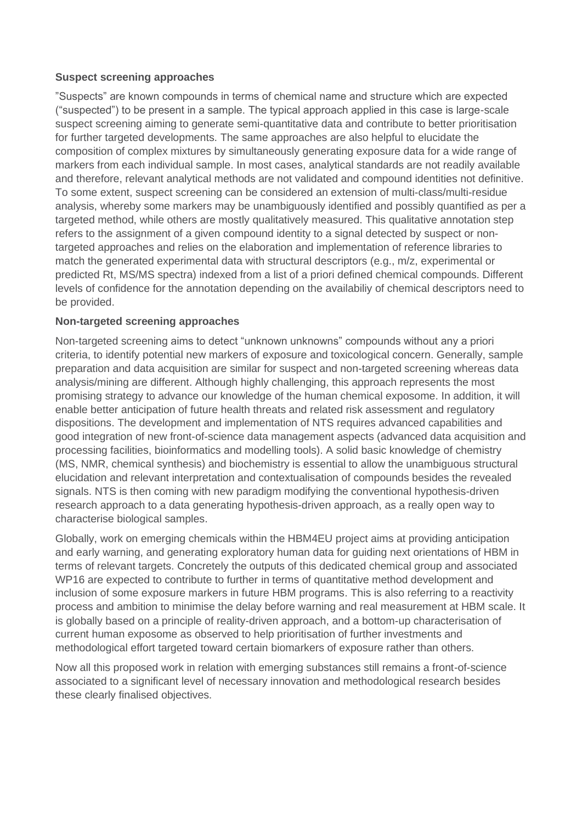#### **Suspect screening approaches**

"Suspects" are known compounds in terms of chemical name and structure which are expected ("suspected") to be present in a sample. The typical approach applied in this case is large-scale suspect screening aiming to generate semi-quantitative data and contribute to better prioritisation for further targeted developments. The same approaches are also helpful to elucidate the composition of complex mixtures by simultaneously generating exposure data for a wide range of markers from each individual sample. In most cases, analytical standards are not readily available and therefore, relevant analytical methods are not validated and compound identities not definitive. To some extent, suspect screening can be considered an extension of multi-class/multi-residue analysis, whereby some markers may be unambiguously identified and possibly quantified as per a targeted method, while others are mostly qualitatively measured. This qualitative annotation step refers to the assignment of a given compound identity to a signal detected by suspect or nontargeted approaches and relies on the elaboration and implementation of reference libraries to match the generated experimental data with structural descriptors (e.g., m/z, experimental or predicted Rt, MS/MS spectra) indexed from a list of a priori defined chemical compounds. Different levels of confidence for the annotation depending on the availabiliy of chemical descriptors need to be provided.

#### **Non-targeted screening approaches**

Non-targeted screening aims to detect "unknown unknowns" compounds without any a priori criteria, to identify potential new markers of exposure and toxicological concern. Generally, sample preparation and data acquisition are similar for suspect and non-targeted screening whereas data analysis/mining are different. Although highly challenging, this approach represents the most promising strategy to advance our knowledge of the human chemical exposome. In addition, it will enable better anticipation of future health threats and related risk assessment and regulatory dispositions. The development and implementation of NTS requires advanced capabilities and good integration of new front-of-science data management aspects (advanced data acquisition and processing facilities, bioinformatics and modelling tools). A solid basic knowledge of chemistry (MS, NMR, chemical synthesis) and biochemistry is essential to allow the unambiguous structural elucidation and relevant interpretation and contextualisation of compounds besides the revealed signals. NTS is then coming with new paradigm modifying the conventional hypothesis-driven research approach to a data generating hypothesis-driven approach, as a really open way to characterise biological samples.

Globally, work on emerging chemicals within the HBM4EU project aims at providing anticipation and early warning, and generating exploratory human data for guiding next orientations of HBM in terms of relevant targets. Concretely the outputs of this dedicated chemical group and associated WP16 are expected to contribute to further in terms of quantitative method development and inclusion of some exposure markers in future HBM programs. This is also referring to a reactivity process and ambition to minimise the delay before warning and real measurement at HBM scale. It is globally based on a principle of reality-driven approach, and a bottom-up characterisation of current human exposome as observed to help prioritisation of further investments and methodological effort targeted toward certain biomarkers of exposure rather than others.

Now all this proposed work in relation with emerging substances still remains a front-of-science associated to a significant level of necessary innovation and methodological research besides these clearly finalised objectives.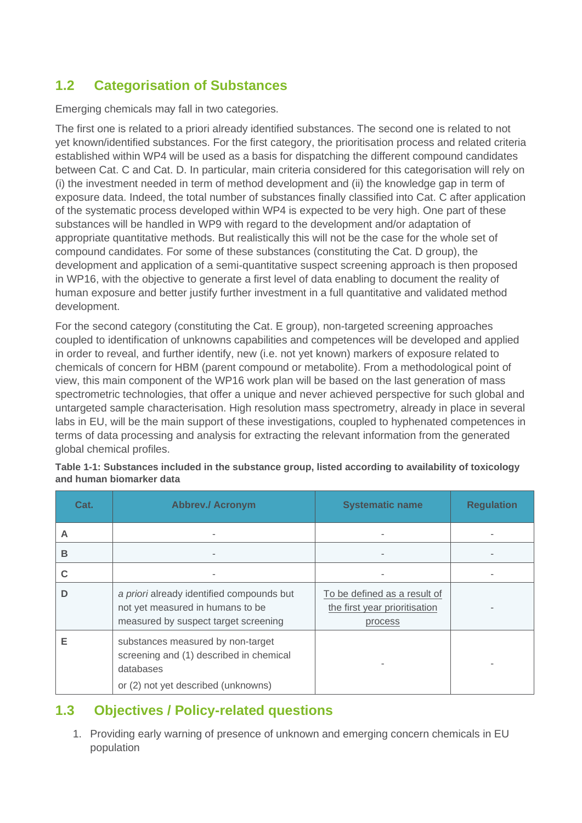### **1.2 Categorisation of Substances**

Emerging chemicals may fall in two categories.

The first one is related to a priori already identified substances. The second one is related to not yet known/identified substances. For the first category, the prioritisation process and related criteria established within WP4 will be used as a basis for dispatching the different compound candidates between Cat. C and Cat. D. In particular, main criteria considered for this categorisation will rely on (i) the investment needed in term of method development and (ii) the knowledge gap in term of exposure data. Indeed, the total number of substances finally classified into Cat. C after application of the systematic process developed within WP4 is expected to be very high. One part of these substances will be handled in WP9 with regard to the development and/or adaptation of appropriate quantitative methods. But realistically this will not be the case for the whole set of compound candidates. For some of these substances (constituting the Cat. D group), the development and application of a semi-quantitative suspect screening approach is then proposed in WP16, with the objective to generate a first level of data enabling to document the reality of human exposure and better justify further investment in a full quantitative and validated method development.

For the second category (constituting the Cat. E group), non-targeted screening approaches coupled to identification of unknowns capabilities and competences will be developed and applied in order to reveal, and further identify, new (i.e. not yet known) markers of exposure related to chemicals of concern for HBM (parent compound or metabolite). From a methodological point of view, this main component of the WP16 work plan will be based on the last generation of mass spectrometric technologies, that offer a unique and never achieved perspective for such global and untargeted sample characterisation. High resolution mass spectrometry, already in place in several labs in EU, will be the main support of these investigations, coupled to hyphenated competences in terms of data processing and analysis for extracting the relevant information from the generated global chemical profiles.

| Cat. | <b>Abbrev./ Acronym</b>                                                                                                          | <b>Systematic name</b>                                                   | <b>Regulation</b> |
|------|----------------------------------------------------------------------------------------------------------------------------------|--------------------------------------------------------------------------|-------------------|
| A    |                                                                                                                                  |                                                                          |                   |
| B    |                                                                                                                                  | $\,$                                                                     |                   |
| C    |                                                                                                                                  |                                                                          |                   |
| D    | a priori already identified compounds but<br>not yet measured in humans to be<br>measured by suspect target screening            | To be defined as a result of<br>the first year prioritisation<br>process |                   |
| Е    | substances measured by non-target<br>screening and (1) described in chemical<br>databases<br>or (2) not yet described (unknowns) |                                                                          |                   |

**Table 1-1: Substances included in the substance group, listed according to availability of toxicology and human biomarker data**

### **1.3 Objectives / Policy-related questions**

1. Providing early warning of presence of unknown and emerging concern chemicals in EU population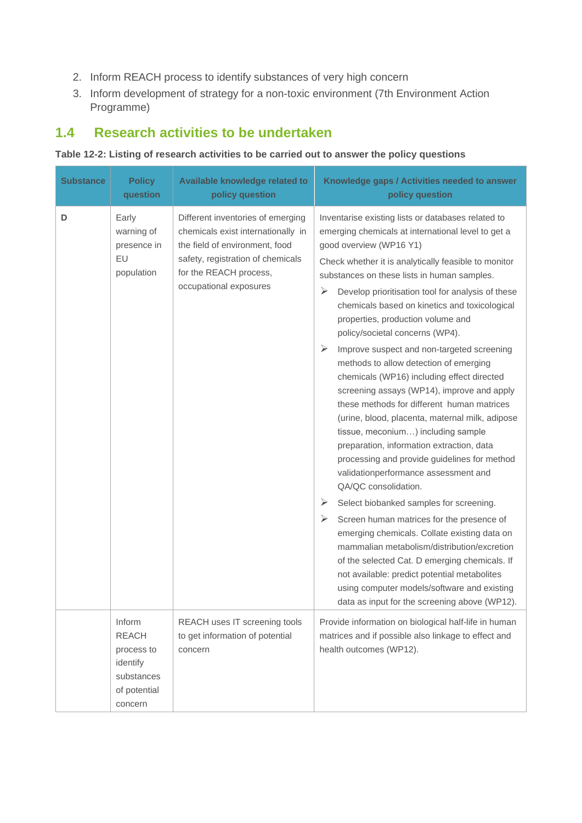- 2. Inform REACH process to identify substances of very high concern
- 3. Inform development of strategy for a non-toxic environment (7th Environment Action Programme)

### **1.4 Research activities to be undertaken**

#### **Table 12-2: Listing of research activities to be carried out to answer the policy questions**

| <b>Substance</b> | <b>Policy</b><br>question                                                                 | Available knowledge related to<br>policy question                                                                                                                                                  | Knowledge gaps / Activities needed to answer<br>policy question                                                                                                                                                                                                                                                                                                                                                                                                                                                                                                                                                                                                                                                                                                                                                                                                                                                                                                                                                                                                                                                                                                                                                                                                                                                              |  |
|------------------|-------------------------------------------------------------------------------------------|----------------------------------------------------------------------------------------------------------------------------------------------------------------------------------------------------|------------------------------------------------------------------------------------------------------------------------------------------------------------------------------------------------------------------------------------------------------------------------------------------------------------------------------------------------------------------------------------------------------------------------------------------------------------------------------------------------------------------------------------------------------------------------------------------------------------------------------------------------------------------------------------------------------------------------------------------------------------------------------------------------------------------------------------------------------------------------------------------------------------------------------------------------------------------------------------------------------------------------------------------------------------------------------------------------------------------------------------------------------------------------------------------------------------------------------------------------------------------------------------------------------------------------------|--|
| D                | Early<br>warning of<br>presence in<br><b>EU</b><br>population                             | Different inventories of emerging<br>chemicals exist internationally in<br>the field of environment, food<br>safety, registration of chemicals<br>for the REACH process,<br>occupational exposures | Inventarise existing lists or databases related to<br>emerging chemicals at international level to get a<br>good overview (WP16 Y1)<br>Check whether it is analytically feasible to monitor<br>substances on these lists in human samples.<br>➤<br>Develop prioritisation tool for analysis of these<br>chemicals based on kinetics and toxicological<br>properties, production volume and<br>policy/societal concerns (WP4).<br>➤<br>Improve suspect and non-targeted screening<br>methods to allow detection of emerging<br>chemicals (WP16) including effect directed<br>screening assays (WP14), improve and apply<br>these methods for different human matrices<br>(urine, blood, placenta, maternal milk, adipose<br>tissue, meconium) including sample<br>preparation, information extraction, data<br>processing and provide guidelines for method<br>validationperformance assessment and<br>QA/QC consolidation.<br>➤<br>Select biobanked samples for screening.<br>➤<br>Screen human matrices for the presence of<br>emerging chemicals. Collate existing data on<br>mammalian metabolism/distribution/excretion<br>of the selected Cat. D emerging chemicals. If<br>not available: predict potential metabolites<br>using computer models/software and existing<br>data as input for the screening above (WP12). |  |
|                  | Inform<br><b>REACH</b><br>process to<br>identify<br>substances<br>of potential<br>concern | REACH uses IT screening tools<br>to get information of potential<br>concern                                                                                                                        | Provide information on biological half-life in human<br>matrices and if possible also linkage to effect and<br>health outcomes (WP12).                                                                                                                                                                                                                                                                                                                                                                                                                                                                                                                                                                                                                                                                                                                                                                                                                                                                                                                                                                                                                                                                                                                                                                                       |  |